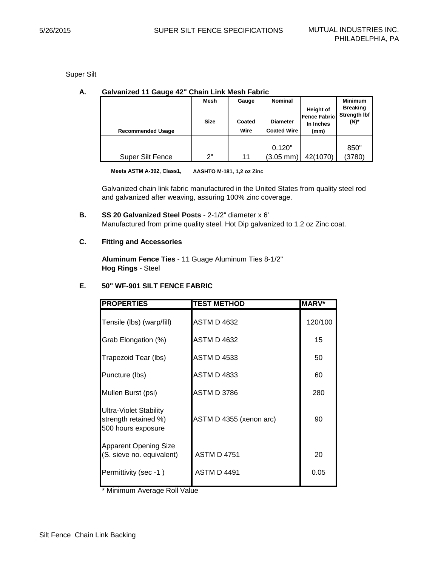Super Silt

| <b>Galvanized 11 Gauge 42" Chain Link Mesh Fabric</b><br>А. |
|-------------------------------------------------------------|
|-------------------------------------------------------------|

| <b>Recommended Usage</b> | Mesh<br>Size | Gauge<br>Coated<br>Wire | <b>Nominal</b><br><b>Diameter</b><br><b>Coated Wire</b> | Height of<br><b>Fence Fabric</b><br>In Inches<br>(mm) | <b>Minimum</b><br><b>Breaking</b><br><b>Strength Ibf</b><br>(N)* |
|--------------------------|--------------|-------------------------|---------------------------------------------------------|-------------------------------------------------------|------------------------------------------------------------------|
|                          |              |                         | 0.120"                                                  |                                                       | 850"                                                             |
| Super Silt Fence         | ን"           | 11                      | $(3.05 \, \text{mm})$                                   | 42(1070)                                              | (3780)                                                           |

**Meets ASTM A-392, Class1, AASHTO M-181, 1,2 oz Zinc**

Galvanized chain link fabric manufactured in the United States from quality steel rod and galvanized after weaving, assuring 100% zinc coverage.

**B. SS 20 Galvanized Steel Posts** - 2-1/2" diameter x 6' Manufactured from prime quality steel. Hot Dip galvanized to 1.2 oz Zinc coat.

# **C. Fitting and Accessories**

**Aluminum Fence Ties** - 11 Guage Aluminum Ties 8-1/2" **Hog Rings** - Steel

# **E. 50" WF-901 SILT FENCE FABRIC**

| <b>PROPERTIES</b>                                                    | <b>TEST METHOD</b>      | <b>MARV*</b> |
|----------------------------------------------------------------------|-------------------------|--------------|
| Tensile (lbs) (warp/fill)                                            | <b>ASTM D 4632</b>      | 120/100      |
| Grab Elongation (%)                                                  | <b>ASTM D 4632</b>      | 15           |
| Trapezoid Tear (lbs)                                                 | <b>ASTM D 4533</b>      | 50           |
| Puncture (lbs)                                                       | <b>ASTM D 4833</b>      | 60           |
| Mullen Burst (psi)                                                   | <b>ASTM D 3786</b>      | 280          |
| Ultra-Violet Stability<br>strength retained %)<br>500 hours exposure | ASTM D 4355 (xenon arc) | 90           |
| <b>Apparent Opening Size</b><br>(S. sieve no. equivalent)            | <b>ASTM D 4751</b>      | 20           |
| Permittivity (sec -1)                                                | <b>ASTM D 4491</b>      | 0.05         |

\* Minimum Average Roll Value